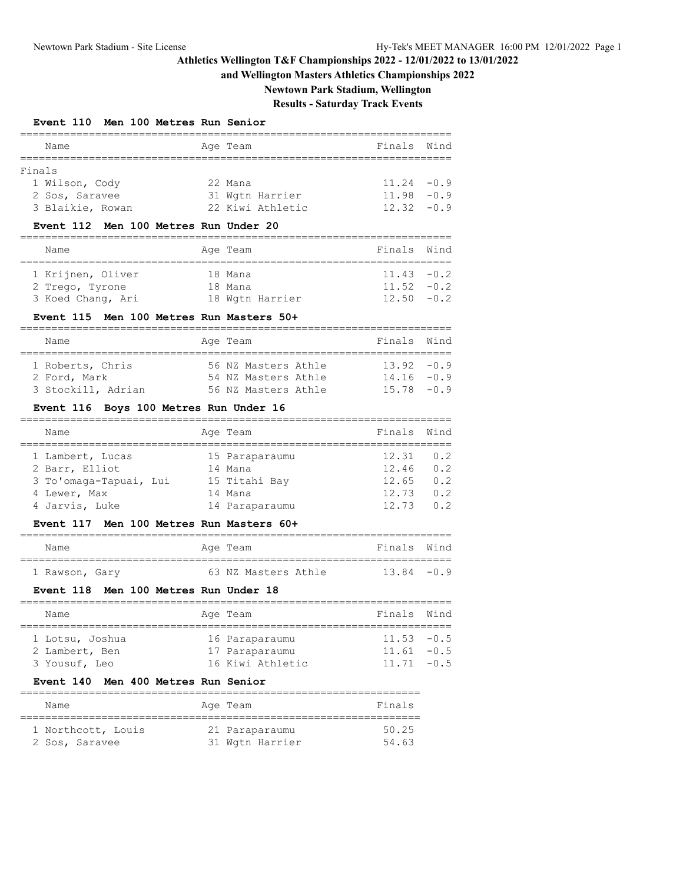### **and Wellington Masters Athletics Championships 2022**

**Newtown Park Stadium, Wellington**

# **Results - Saturday Track Events**

### **Event 110 Men 100 Metres Run Senior**

|        | Name             | Age Team |                  | Finals Wind   |  |
|--------|------------------|----------|------------------|---------------|--|
|        |                  |          |                  |               |  |
| Finals |                  |          |                  |               |  |
|        | 1 Wilson, Cody   | 22 Mana  |                  | $11.24 - 0.9$ |  |
|        | 2 Sos, Saravee   |          | 31 Wgtn Harrier  | $11.98 - 0.9$ |  |
|        | 3 Blaikie, Rowan |          | 22 Kiwi Athletic | $12.32 - 0.9$ |  |

#### **Event 112 Men 100 Metres Run Under 20**

| Name              |  | Age Team |                 | Finals Wind   |  |  |  |  |
|-------------------|--|----------|-----------------|---------------|--|--|--|--|
|                   |  |          |                 |               |  |  |  |  |
| 1 Krijnen, Oliver |  | 18 Mana  |                 | $11.43 - 0.2$ |  |  |  |  |
| 2 Trego, Tyrone   |  | 18 Mana  |                 | $11.52 - 0.2$ |  |  |  |  |
| 3 Koed Chang, Ari |  |          | 18 Wgtn Harrier | $12.50 - 0.2$ |  |  |  |  |

#### **Event 115 Men 100 Metres Run Masters 50+**

| Name               | Age Team |  |                     |  | Finals Wind   |  |  |  |  |
|--------------------|----------|--|---------------------|--|---------------|--|--|--|--|
|                    |          |  |                     |  |               |  |  |  |  |
| 1 Roberts, Chris   |          |  | 56 NZ Masters Athle |  | $13.92 - 0.9$ |  |  |  |  |
| 2 Ford, Mark       |          |  | 54 NZ Masters Athle |  | $14.16 - 0.9$ |  |  |  |  |
| 3 Stockill, Adrian |          |  | 56 NZ Masters Athle |  | $15.78 - 0.9$ |  |  |  |  |

#### **Event 116 Boys 100 Metres Run Under 16**

| Name                   | Age Team       | Finals | Wind           |
|------------------------|----------------|--------|----------------|
|                        |                |        |                |
| 1 Lambert, Lucas       | 15 Paraparaumu | 12.31  | 0.2            |
| 2 Barr, Elliot         | 14 Mana        | 12.46  | 0.2            |
| 3 To'omaga-Tapuai, Lui | 15 Titahi Bay  | 12.65  | 0.2            |
| 4 Lewer, Max           | 14 Mana        | 12.73  | 0.2            |
| 4 Jarvis, Luke         | 14 Paraparaumu | 12.73  | 0 <sub>2</sub> |

### **Event 117 Men 100 Metres Run Masters 60+**

| Name           |  | Age Team |                     | Finals Wind   |  |
|----------------|--|----------|---------------------|---------------|--|
|                |  |          |                     |               |  |
| 1 Rawson, Gary |  |          | 63 NZ Masters Athle | $13.84 - 0.9$ |  |

#### **Event 118 Men 100 Metres Run Under 18**

| Name            |  | Age Team         | Finals Wind   |  |  |  |  |
|-----------------|--|------------------|---------------|--|--|--|--|
|                 |  |                  |               |  |  |  |  |
| 1 Lotsu, Joshua |  | 16 Paraparaumu   | $11.53 - 0.5$ |  |  |  |  |
| 2 Lambert, Ben  |  | 17 Paraparaumu   | $11.61 - 0.5$ |  |  |  |  |
| 3 Yousuf, Leo   |  | 16 Kiwi Athletic | $11.71 - 0.5$ |  |  |  |  |

## **Event 140 Men 400 Metres Run Senior**

| Name               | Age Team        | Finals |
|--------------------|-----------------|--------|
| 1 Northcott, Louis | 21 Paraparaumu  | 50.25  |
| 2 Sos, Saravee     | 31 Wgtn Harrier | 54.63  |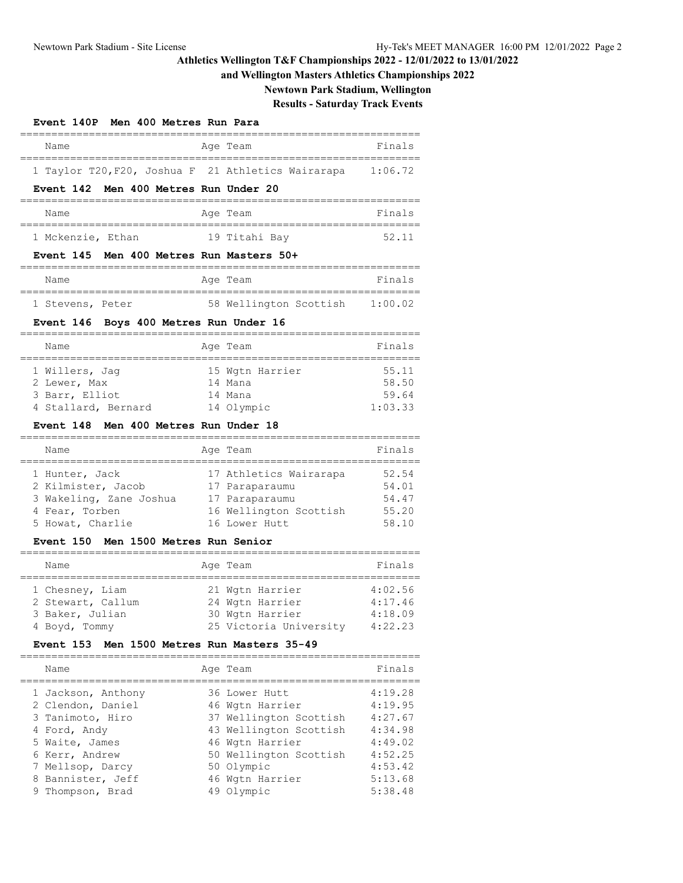### **and Wellington Masters Athletics Championships 2022**

**Newtown Park Stadium, Wellington**

# **Results - Saturday Track Events**

|      | Event 140P Men 400 Metres Run Para |  |          |                                                    |         |
|------|------------------------------------|--|----------|----------------------------------------------------|---------|
| Name |                                    |  | Age Team |                                                    | Finals  |
|      |                                    |  |          | 1 Taylor T20, F20, Joshua F 21 Athletics Wairarapa | 1:06.72 |

#### **Event 142 Men 400 Metres Run Under 20**

| Name              | Age Team      | Finals |
|-------------------|---------------|--------|
|                   |               |        |
| 1 Mckenzie, Ethan | 19 Titahi Bay | 52.11  |

#### **Event 145 Men 400 Metres Run Masters 50+**

| Name             |  | Age Team               | Finals  |
|------------------|--|------------------------|---------|
|                  |  |                        |         |
| 1 Stevens, Peter |  | 58 Wellington Scottish | 1:00.02 |

### **Event 146 Boys 400 Metres Run Under 16**

| Name                |  | Age Team        | Finals  |  |  |  |  |
|---------------------|--|-----------------|---------|--|--|--|--|
|                     |  |                 |         |  |  |  |  |
| 1 Willers, Jaq      |  | 15 Wgtn Harrier | 55.11   |  |  |  |  |
| 2 Lewer, Max        |  | 14 Mana         | 58.50   |  |  |  |  |
| 3 Barr, Elliot      |  | 14 Mana         | 59.64   |  |  |  |  |
| 4 Stallard, Bernard |  | 14 Olympic      | 1:03.33 |  |  |  |  |

#### **Event 148 Men 400 Metres Run Under 18**

| Name                    | Age Team               | Finals |
|-------------------------|------------------------|--------|
| 1 Hunter, Jack          | 17 Athletics Wairarapa | 52.54  |
| 2 Kilmister, Jacob      | 17 Paraparaumu         | 54.01  |
| 3 Wakeling, Zane Joshua | 17 Paraparaumu         | 54.47  |
| 4 Fear, Torben          | 16 Wellington Scottish | 55.20  |
| 5 Howat, Charlie        | 16 Lower Hutt          | 58.10  |

### **Event 150 Men 1500 Metres Run Senior**

| Name              |  | Age Team               | Finals  |  |  |  |  |  |  |
|-------------------|--|------------------------|---------|--|--|--|--|--|--|
|                   |  |                        |         |  |  |  |  |  |  |
| 1 Chesney, Liam   |  | 21 Wgtn Harrier        | 4:02.56 |  |  |  |  |  |  |
| 2 Stewart, Callum |  | 24 Wgtn Harrier        | 4:17.46 |  |  |  |  |  |  |
| 3 Baker, Julian   |  | 30 Wgtn Harrier        | 4:18.09 |  |  |  |  |  |  |
| 4 Boyd, Tommy     |  | 25 Victoria University | 4:22.23 |  |  |  |  |  |  |

#### **Event 153 Men 1500 Metres Run Masters 35-49**

|  | Name                                    | Age Team                         | Finals             |
|--|-----------------------------------------|----------------------------------|--------------------|
|  | 1 Jackson, Anthony<br>2 Clendon, Daniel | 36 Lower Hutt<br>46 Wgtn Harrier | 4:19.28<br>4:19.95 |
|  | 3 Tanimoto, Hiro                        | 37 Wellington Scottish           | 4:27.67            |
|  | 4 Ford, Andy                            | 43 Wellington Scottish           | 4:34.98            |
|  | 5 Waite, James                          | 46 Wgtn Harrier                  | 4:49.02            |
|  | 6 Kerr, Andrew                          | 50 Wellington Scottish           | 4:52.25            |
|  | 7 Mellsop, Darcy                        | 50 Olympic                       | 4:53.42            |
|  | 8 Bannister, Jeff                       | 46 Wgtn Harrier                  | 5:13.68            |
|  | 9 Thompson, Brad                        | 49 Olympic                       | 5:38.48            |
|  |                                         |                                  |                    |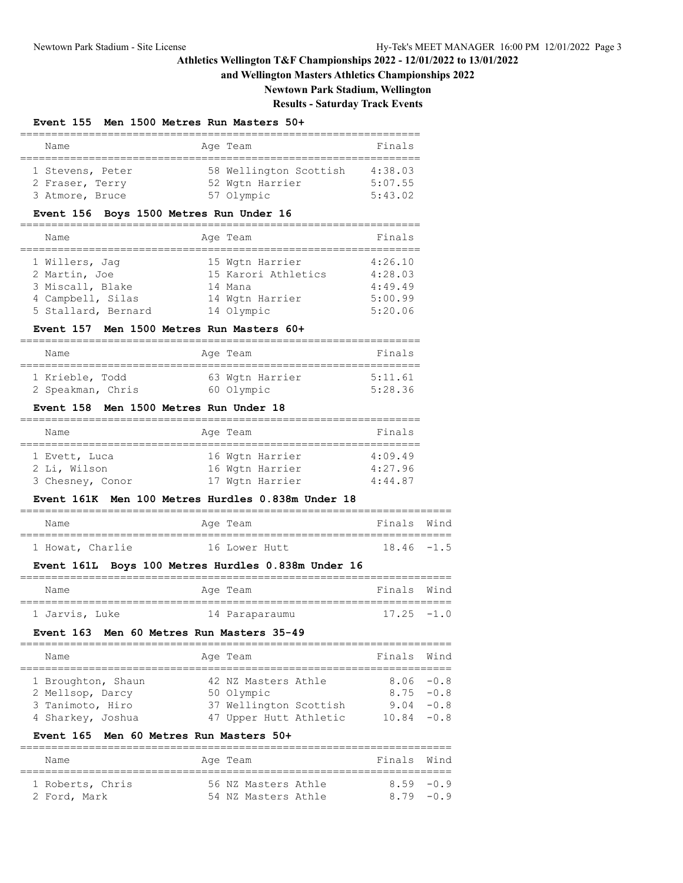### **and Wellington Masters Athletics Championships 2022**

**Newtown Park Stadium, Wellington**

# **Results - Saturday Track Events**

### **Event 155 Men 1500 Metres Run Masters 50+**

| Name             |  | Age Team               | Finals  |  |  |  |  |  |  |
|------------------|--|------------------------|---------|--|--|--|--|--|--|
|                  |  |                        |         |  |  |  |  |  |  |
| 1 Stevens, Peter |  | 58 Wellington Scottish | 4:38.03 |  |  |  |  |  |  |
| 2 Fraser, Terry  |  | 52 Wgtn Harrier        | 5:07.55 |  |  |  |  |  |  |
| 3 Atmore, Bruce  |  | 57 Olympic             | 5:43.02 |  |  |  |  |  |  |

### **Event 156 Boys 1500 Metres Run Under 16**

| Name                | Age Team            | Finals  |
|---------------------|---------------------|---------|
| 1 Willers, Jaq      | 15 Wgtn Harrier     | 4:26.10 |
| 2 Martin, Joe       | 15 Karori Athletics | 4:28.03 |
| 3 Miscall, Blake    | 14 Mana             | 4:49.49 |
| 4 Campbell, Silas   | 14 Wgtn Harrier     | 5:00.99 |
| 5 Stallard, Bernard | 14 Olympic          | 5:20.06 |

#### **Event 157 Men 1500 Metres Run Masters 60+**

| Name              | Age Team        | Finals  |
|-------------------|-----------------|---------|
| 1 Krieble, Todd   | 63 Wgtn Harrier | 5:11.61 |
| 2 Speakman, Chris | 60 Olympic      | 5:28.36 |

#### **Event 158 Men 1500 Metres Run Under 18**

| Name                                              |  | Age Team |                                                       | Finals                        |  |  |  |  |  |  |
|---------------------------------------------------|--|----------|-------------------------------------------------------|-------------------------------|--|--|--|--|--|--|
| 1 Evett, Luca<br>2 Li, Wilson<br>3 Chesney, Conor |  |          | 16 Wgtn Harrier<br>16 Wgtn Harrier<br>17 Wgtn Harrier | 4:09.49<br>4:27.96<br>4:44.87 |  |  |  |  |  |  |

### **Event 161K Men 100 Metres Hurdles 0.838m Under 18**

| Name |                  | Age Team      |  | Finals Wind   |  |
|------|------------------|---------------|--|---------------|--|
|      |                  |               |  |               |  |
|      | 1 Howat, Charlie | 16 Lower Hutt |  | $18.46 - 1.5$ |  |

### **Event 161L Boys 100 Metres Hurdles 0.838m Under 16**

| Name           | Age Team       | Finals Wind   |  |
|----------------|----------------|---------------|--|
|                |                |               |  |
| 1 Jarvis, Luke | 14 Paraparaumu | $17.25 - 1.0$ |  |

#### **Event 163 Men 60 Metres Run Masters 35-49**

| Name               |  | Age Team               | Finals Wind   |  |  |  |  |  |  |  |
|--------------------|--|------------------------|---------------|--|--|--|--|--|--|--|
|                    |  |                        |               |  |  |  |  |  |  |  |
| 1 Broughton, Shaun |  | 42 NZ Masters Athle    | $8.06 - 0.8$  |  |  |  |  |  |  |  |
| 2 Mellsop, Darcy   |  | 50 Olympic             | $8.75 - 0.8$  |  |  |  |  |  |  |  |
| 3 Tanimoto, Hiro   |  | 37 Wellington Scottish | $9.04 - 0.8$  |  |  |  |  |  |  |  |
| 4 Sharkey, Joshua  |  | 47 Upper Hutt Athletic | $10.84 - 0.8$ |  |  |  |  |  |  |  |

### **Event 165 Men 60 Metres Run Masters 50+**

| Name             | Age Team |  |                     |  | Finals Wind  |  |  |  |  |  |
|------------------|----------|--|---------------------|--|--------------|--|--|--|--|--|
|                  |          |  |                     |  |              |  |  |  |  |  |
| 1 Roberts, Chris |          |  | 56 NZ Masters Athle |  | 859 - 09     |  |  |  |  |  |
| 2 Ford, Mark     |          |  | 54 NZ Masters Athle |  | $8.79 - 0.9$ |  |  |  |  |  |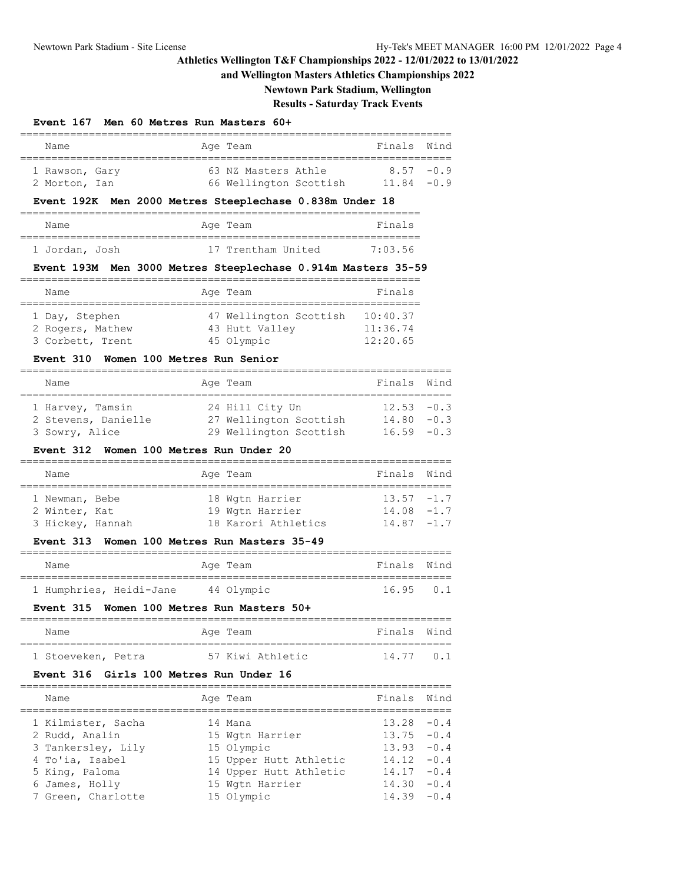## **and Wellington Masters Athletics Championships 2022**

**Newtown Park Stadium, Wellington**

# **Results - Saturday Track Events**

### **Event 167 Men 60 Metres Run Masters 60+**

| Name                                                         | Age Team   |                                               | Finals                           | Wind   |
|--------------------------------------------------------------|------------|-----------------------------------------------|----------------------------------|--------|
| 1 Rawson, Gary<br>2 Morton, Ian                              |            | 63 NZ Masters Athle<br>66 Wellington Scottish | 8.57<br>$11.84 - 0.9$            | $-0.9$ |
| Event 192K Men 2000 Metres Steeplechase 0.838m Under 18      |            |                                               |                                  |        |
| Name                                                         | Age Team   |                                               | Finals                           |        |
| 1 Jordan, Josh                                               |            | 17 Trentham United                            | 7:03.56                          |        |
| Event 193M Men 3000 Metres Steeplechase 0.914m Masters 35-59 |            |                                               |                                  |        |
| Name                                                         | Age Team   |                                               | Finals                           |        |
| 1 Day, Stephen<br>2 Rogers, Mathew<br>3 Corbett, Trent       | 45 Olympic | 47 Wellington Scottish<br>43 Hutt Valley      | 10:40.37<br>11:36.74<br>12:20.65 |        |

=====================================================================

### **Event 310 Women 100 Metres Run Senior**

| Name                |  | Age Team               | Finals Wind   |  |  |  |  |  |  |
|---------------------|--|------------------------|---------------|--|--|--|--|--|--|
| 1 Harvey, Tamsin    |  | 24 Hill City Un        | $12.53 - 0.3$ |  |  |  |  |  |  |
|                     |  |                        |               |  |  |  |  |  |  |
| 2 Stevens, Danielle |  | 27 Wellington Scottish | $14.80 - 0.3$ |  |  |  |  |  |  |
| 3 Sowry, Alice      |  | 29 Wellington Scottish | $16.59 - 0.3$ |  |  |  |  |  |  |

#### **Event 312 Women 100 Metres Run Under 20**

| Name             |  |  | Age Team            | Finals Wind   |  |  |  |  |  |
|------------------|--|--|---------------------|---------------|--|--|--|--|--|
|                  |  |  |                     |               |  |  |  |  |  |
| 1 Newman, Bebe   |  |  | 18 Wgtn Harrier     | $13.57 - 1.7$ |  |  |  |  |  |
| 2 Winter, Kat    |  |  | 19 Wgtn Harrier     | $14.08 - 1.7$ |  |  |  |  |  |
| 3 Hickey, Hannah |  |  | 18 Karori Athletics | $14.87 - 1.7$ |  |  |  |  |  |

### **Event 313 Women 100 Metres Run Masters 35-49**

| Name |                         | Age Team   | Finals Wind    |  |
|------|-------------------------|------------|----------------|--|
|      | 1 Humphries, Heidi-Jane | 44 Olympic | $16.95 \t 0.1$ |  |

### **Event 315 Women 100 Metres Run Masters 50+**

| Name               |  | Age Team |                  | Finals Wind |             |
|--------------------|--|----------|------------------|-------------|-------------|
|                    |  |          |                  |             |             |
| 1 Stoeveken, Petra |  |          | 57 Kiwi Athletic |             | $14.77$ 0.1 |

#### **Event 316 Girls 100 Metres Run Under 16**

| Name                                 | Age Team                   | Finals Wind                    |  |
|--------------------------------------|----------------------------|--------------------------------|--|
| 1 Kilmister, Sacha<br>2 Rudd, Analin | 14 Mana<br>15 Wgtn Harrier | $13.28 - 0.4$<br>$13.75 - 0.4$ |  |
| 3 Tankersley, Lily                   | 15 Olympic                 | $13.93 - 0.4$                  |  |
| 4 To'ia, Isabel                      | 15 Upper Hutt Athletic     | $14.12 - 0.4$                  |  |
| 5 King, Paloma                       | 14 Upper Hutt Athletic     | $14.17 - 0.4$                  |  |
| 6 James, Holly                       | 15 Wgtn Harrier            | $14.30 - 0.4$                  |  |
| 7 Green, Charlotte                   | 15 Olympic                 | $14.39 - 0.4$                  |  |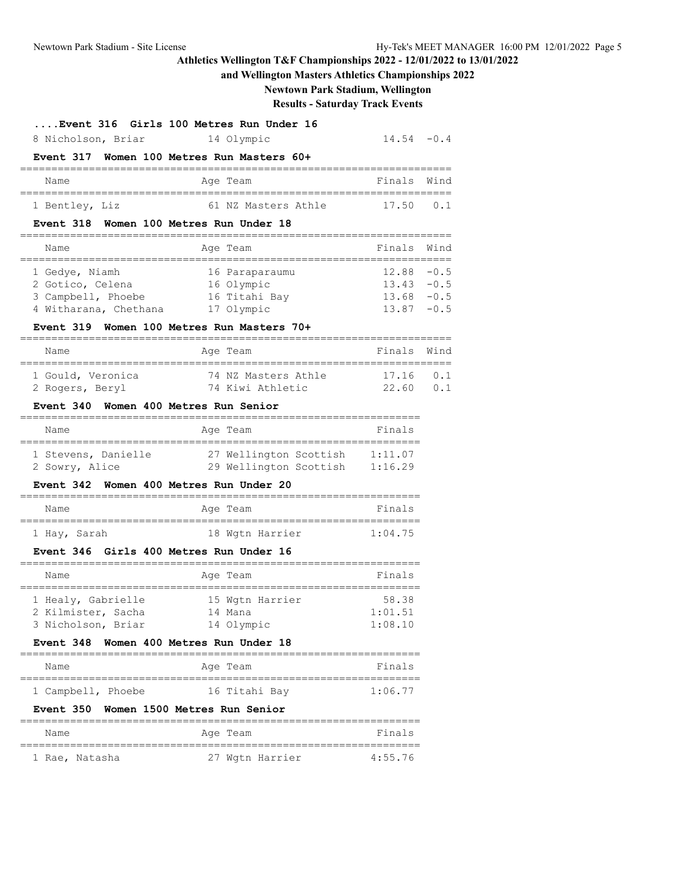### **and Wellington Masters Athletics Championships 2022**

## **Newtown Park Stadium, Wellington**

### **Results - Saturday Track Events**

 $14.54 -0.4$ 

| Event 316 Girls 100 Metres Run Under 16 |  |  |  |  |  |  |
|-----------------------------------------|--|--|--|--|--|--|
|-----------------------------------------|--|--|--|--|--|--|

| 8 Nicholson, Briar |  | 14 Olympic |  |
|--------------------|--|------------|--|
|                    |  |            |  |

# **Event 317 Women 100 Metres Run Masters 60+**

| Name           | Age Team |                     | Finals Wind    |  |
|----------------|----------|---------------------|----------------|--|
|                |          |                     |                |  |
| 1 Bentley, Liz |          | 61 NZ Masters Athle | $17.50 \t 0.1$ |  |

#### **Event 318 Women 100 Metres Run Under 18**

| Name                  | Age Team       | Finals Wind   |  |
|-----------------------|----------------|---------------|--|
|                       |                |               |  |
| 1 Gedye, Niamh        | 16 Paraparaumu | $12.88 - 0.5$ |  |
| 2 Gotico, Celena      | 16 Olympic     | $13.43 - 0.5$ |  |
| 3 Campbell, Phoebe    | 16 Titahi Bay  | $13.68 - 0.5$ |  |
| 4 Witharana, Chethana | 17 Olympic     | $13.87 - 0.5$ |  |

#### **Event 319 Women 100 Metres Run Masters 70+**

| Name              | Age Team            | Finals Wind |     |
|-------------------|---------------------|-------------|-----|
|                   |                     |             |     |
| 1 Gould, Veronica | 74 NZ Masters Athle | 171601      |     |
| 2 Rogers, Beryl   | 74 Kiwi Athletic    | 22.60       | n 1 |

#### **Event 340 Women 400 Metres Run Senior**

| Name                | Age Team               | Finals  |
|---------------------|------------------------|---------|
| 1 Stevens, Danielle | 27 Wellington Scottish | 1:11.07 |
| 2 Sowry, Alice      | 29 Wellington Scottish | 1:16.29 |

### **Event 342 Women 400 Metres Run Under 20**

| Name         | Age Team        | Finals  |
|--------------|-----------------|---------|
| 1 Hay, Sarah | 18 Wgtn Harrier | 1:04.75 |

### **Event 346 Girls 400 Metres Run Under 16**

| Name               | Age Team        | Finals  |
|--------------------|-----------------|---------|
|                    |                 |         |
| 1 Healy, Gabrielle | 15 Wgtn Harrier | 58.38   |
| 2 Kilmister, Sacha | 14 Mana         | 1:01.51 |
| 3 Nicholson, Briar | 14 Olympic      | 1:08.10 |

### **Event 348 Women 400 Metres Run Under 18**

| Name               |  | Age Team      | Finals  |  |
|--------------------|--|---------------|---------|--|
|                    |  |               |         |  |
| 1 Campbell, Phoebe |  | 16 Titahi Bay | 1:06.77 |  |

#### **Event 350 Women 1500 Metres Run Senior**

| Name |                | Age Team |                 | Finals  |  |
|------|----------------|----------|-----------------|---------|--|
|      |                |          |                 |         |  |
|      | 1 Rae, Natasha |          | 27 Wgtn Harrier | 4:55.76 |  |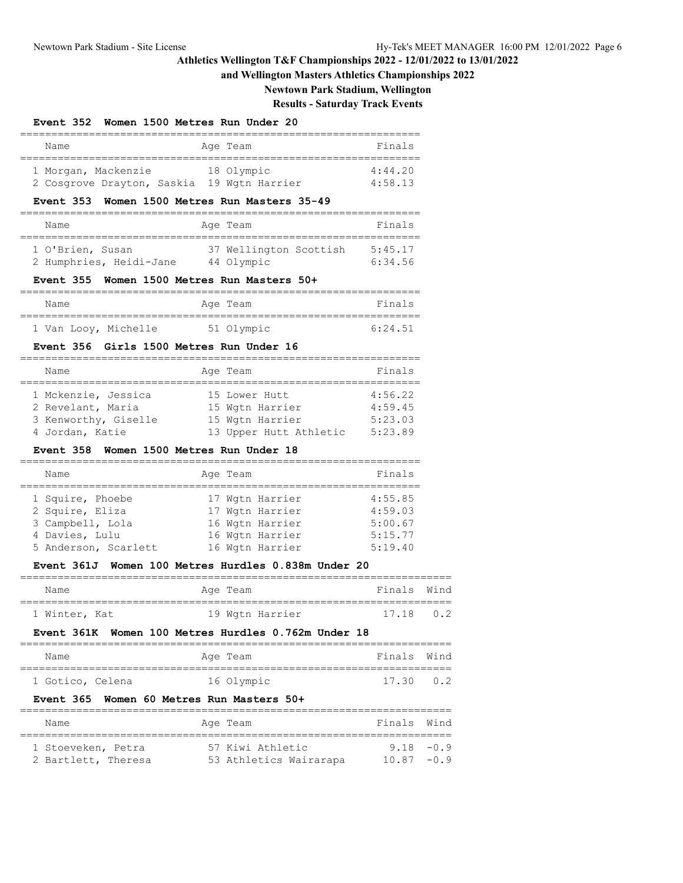### **and Wellington Masters Athletics Championships 2022**

**Newtown Park Stadium, Wellington**

## **Results - Saturday Track Events**

### **Event 352 Women 1500 Metres Run Under 20**

| Name                       | Age Team        | Finals  |
|----------------------------|-----------------|---------|
|                            |                 |         |
| 1 Morgan, Mackenzie        | 18 Olympic      | 4:44.20 |
| 2 Cosgrove Drayton, Saskia | 19 Wgtn Harrier | 4:58.13 |

### **Event 353 Women 1500 Metres Run Masters 35-49**

| Name                    | Age Team               | Finals  |
|-------------------------|------------------------|---------|
| 1 O'Brien, Susan        | 37 Wellington Scottish | 5:45.17 |
| 2 Humphries, Heidi-Jane | 44 Olympic             | 6:34.56 |

#### **Event 355 Women 1500 Metres Run Masters 50+**

| Name |                      | Age Team   | Finals  |
|------|----------------------|------------|---------|
|      |                      |            |         |
|      | 1 Van Looy, Michelle | 51 Olympic | 6:24.51 |

#### **Event 356 Girls 1500 Metres Run Under 16**

| Name                 | Age Team               | Finals  |
|----------------------|------------------------|---------|
|                      |                        |         |
| 1 Mckenzie, Jessica  | 15 Lower Hutt          | 4:56.22 |
| 2 Revelant, Maria    | 15 Wgtn Harrier        | 4:59.45 |
| 3 Kenworthy, Giselle | 15 Wgtn Harrier        | 5:23.03 |
| 4 Jordan, Katie      | 13 Upper Hutt Athletic | 5:23.89 |

#### **Event 358 Women 1500 Metres Run Under 18**

| Name                 | Age Team |                 | Finals  |
|----------------------|----------|-----------------|---------|
|                      |          |                 |         |
| 1 Squire, Phoebe     |          | 17 Wgtn Harrier | 4:55.85 |
| 2 Squire, Eliza      |          | 17 Wgtn Harrier | 4:59.03 |
| 3 Campbell, Lola     |          | 16 Wgtn Harrier | 5:00.67 |
| 4 Davies, Lulu       |          | 16 Wgtn Harrier | 5:15.77 |
| 5 Anderson, Scarlett |          | 16 Wgtn Harrier | 5:19.40 |

### **Event 361J Women 100 Metres Hurdles 0.838m Under 20**

| Name          | Age Team |                 | Finals Wind |  |
|---------------|----------|-----------------|-------------|--|
|               |          |                 |             |  |
| 1 Winter, Kat |          | 19 Wgtn Harrier | $17.18$ 0.2 |  |

#### **Event 361K Women 100 Metres Hurdles 0.762m Under 18**

| Name             | Age Team   | Finals Wind    |  |
|------------------|------------|----------------|--|
|                  |            |                |  |
| 1 Gotico, Celena | 16 Olympic | $17.30 \t 0.2$ |  |

### **Event 365 Women 60 Metres Run Masters 50+**

| Name                | Aqe Team               | Finals Wind   |  |
|---------------------|------------------------|---------------|--|
|                     |                        |               |  |
| 1 Stoeveken, Petra  | 57 Kiwi Athletic       | $9.18 - 0.9$  |  |
| 2 Bartlett, Theresa | 53 Athletics Wairarapa | $10.87 - 0.9$ |  |